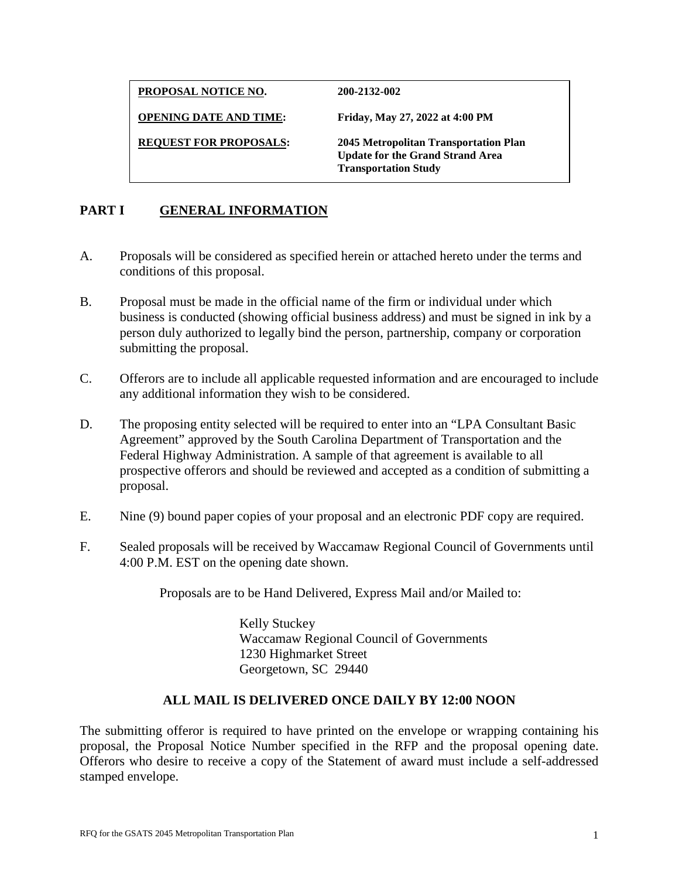**PROPOSAL NOTICE NO. 200-2132-002**

**OPENING DATE AND TIME: Friday, May 27, 2022 at 4:00 PM** 

**REQUEST FOR PROPOSALS: 2045 Metropolitan Transportation Plan Update for the Grand Strand Area Transportation Study** 

# **PART I GENERAL INFORMATION**

- A. Proposals will be considered as specified herein or attached hereto under the terms and conditions of this proposal.
- B. Proposal must be made in the official name of the firm or individual under which business is conducted (showing official business address) and must be signed in ink by a person duly authorized to legally bind the person, partnership, company or corporation submitting the proposal.
- C. Offerors are to include all applicable requested information and are encouraged to include any additional information they wish to be considered.
- D. The proposing entity selected will be required to enter into an "LPA Consultant Basic Agreement" approved by the South Carolina Department of Transportation and the Federal Highway Administration. A sample of that agreement is available to all prospective offerors and should be reviewed and accepted as a condition of submitting a proposal.
- E. Nine (9) bound paper copies of your proposal and an electronic PDF copy are required.
- F. Sealed proposals will be received by Waccamaw Regional Council of Governments until 4:00 P.M. EST on the opening date shown.

Proposals are to be Hand Delivered, Express Mail and/or Mailed to:

Kelly Stuckey Waccamaw Regional Council of Governments 1230 Highmarket Street Georgetown, SC 29440

### **ALL MAIL IS DELIVERED ONCE DAILY BY 12:00 NOON**

The submitting offeror is required to have printed on the envelope or wrapping containing his proposal, the Proposal Notice Number specified in the RFP and the proposal opening date. Offerors who desire to receive a copy of the Statement of award must include a self-addressed stamped envelope.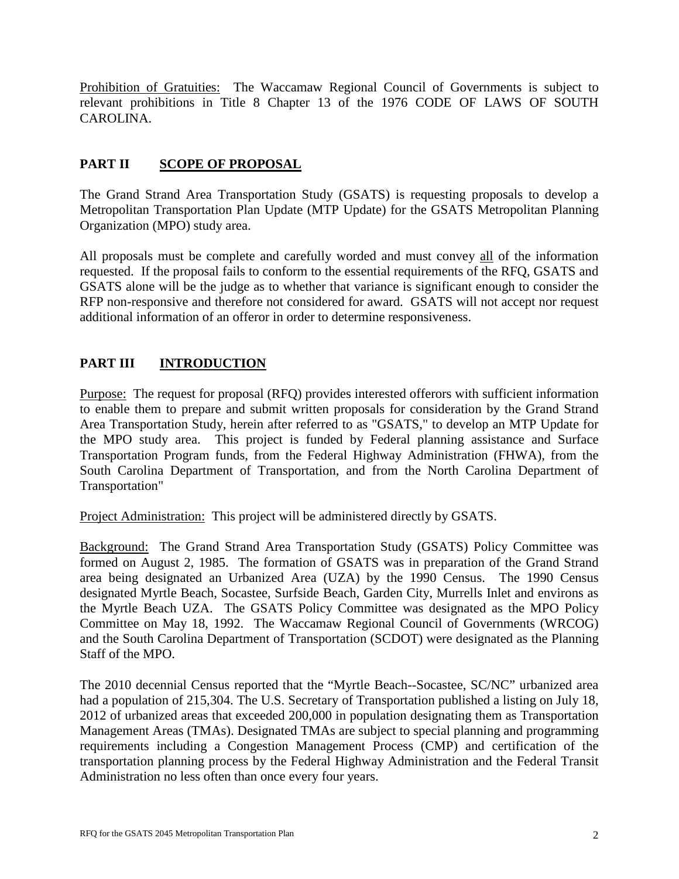Prohibition of Gratuities: The Waccamaw Regional Council of Governments is subject to relevant prohibitions in Title 8 Chapter 13 of the 1976 CODE OF LAWS OF SOUTH CAROLINA.

# **PART II SCOPE OF PROPOSAL**

The Grand Strand Area Transportation Study (GSATS) is requesting proposals to develop a Metropolitan Transportation Plan Update (MTP Update) for the GSATS Metropolitan Planning Organization (MPO) study area.

All proposals must be complete and carefully worded and must convey all of the information requested. If the proposal fails to conform to the essential requirements of the RFQ, GSATS and GSATS alone will be the judge as to whether that variance is significant enough to consider the RFP non-responsive and therefore not considered for award. GSATS will not accept nor request additional information of an offeror in order to determine responsiveness.

# **PART III INTRODUCTION**

Purpose: The request for proposal (RFQ) provides interested offerors with sufficient information to enable them to prepare and submit written proposals for consideration by the Grand Strand Area Transportation Study, herein after referred to as "GSATS," to develop an MTP Update for the MPO study area. This project is funded by Federal planning assistance and Surface Transportation Program funds, from the Federal Highway Administration (FHWA), from the South Carolina Department of Transportation, and from the North Carolina Department of Transportation"

Project Administration: This project will be administered directly by GSATS.

Background: The Grand Strand Area Transportation Study (GSATS) Policy Committee was formed on August 2, 1985. The formation of GSATS was in preparation of the Grand Strand area being designated an Urbanized Area (UZA) by the 1990 Census. The 1990 Census designated Myrtle Beach, Socastee, Surfside Beach, Garden City, Murrells Inlet and environs as the Myrtle Beach UZA. The GSATS Policy Committee was designated as the MPO Policy Committee on May 18, 1992. The Waccamaw Regional Council of Governments (WRCOG) and the South Carolina Department of Transportation (SCDOT) were designated as the Planning Staff of the MPO.

The 2010 decennial Census reported that the "Myrtle Beach--Socastee, SC/NC" urbanized area had a population of 215,304. The U.S. Secretary of Transportation published a listing on July 18, 2012 of urbanized areas that exceeded 200,000 in population designating them as Transportation Management Areas (TMAs). Designated TMAs are subject to special planning and programming requirements including a Congestion Management Process (CMP) and certification of the transportation planning process by the Federal Highway Administration and the Federal Transit Administration no less often than once every four years.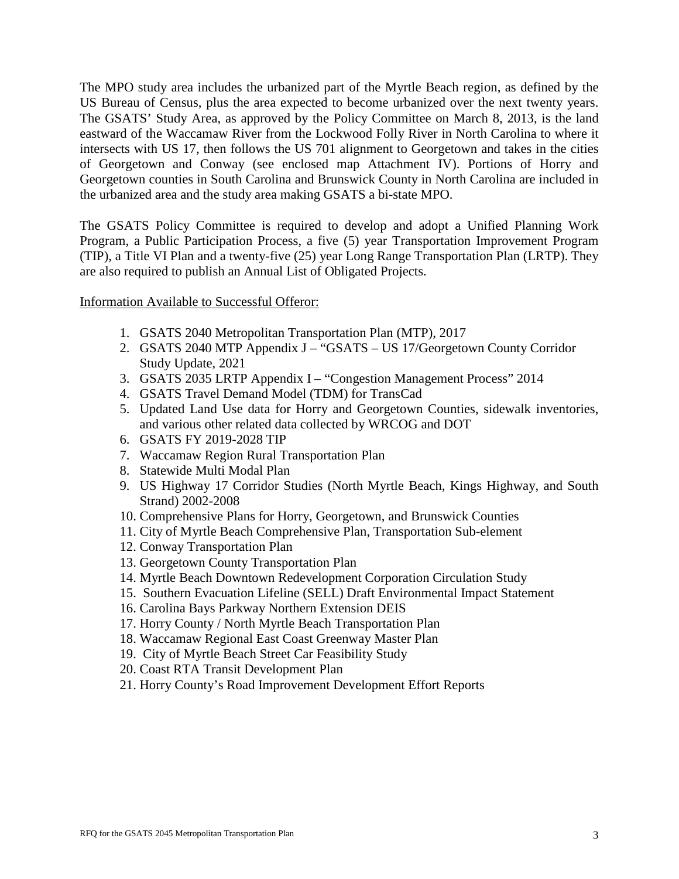The MPO study area includes the urbanized part of the Myrtle Beach region, as defined by the US Bureau of Census, plus the area expected to become urbanized over the next twenty years. The GSATS' Study Area, as approved by the Policy Committee on March 8, 2013, is the land eastward of the Waccamaw River from the Lockwood Folly River in North Carolina to where it intersects with US 17, then follows the US 701 alignment to Georgetown and takes in the cities of Georgetown and Conway (see enclosed map Attachment IV). Portions of Horry and Georgetown counties in South Carolina and Brunswick County in North Carolina are included in the urbanized area and the study area making GSATS a bi-state MPO.

The GSATS Policy Committee is required to develop and adopt a Unified Planning Work Program, a Public Participation Process, a five (5) year Transportation Improvement Program (TIP), a Title VI Plan and a twenty-five (25) year Long Range Transportation Plan (LRTP). They are also required to publish an Annual List of Obligated Projects.

### Information Available to Successful Offeror:

- 1. GSATS 2040 Metropolitan Transportation Plan (MTP), 2017
- 2. GSATS 2040 MTP Appendix J "GSATS US 17/Georgetown County Corridor Study Update, 2021
- 3. GSATS 2035 LRTP Appendix I "Congestion Management Process" 2014
- 4. GSATS Travel Demand Model (TDM) for TransCad
- 5. Updated Land Use data for Horry and Georgetown Counties, sidewalk inventories, and various other related data collected by WRCOG and DOT
- 6. GSATS FY 2019-2028 TIP
- 7. Waccamaw Region Rural Transportation Plan
- 8. Statewide Multi Modal Plan
- 9. US Highway 17 Corridor Studies (North Myrtle Beach, Kings Highway, and South Strand) 2002-2008
- 10. Comprehensive Plans for Horry, Georgetown, and Brunswick Counties
- 11. City of Myrtle Beach Comprehensive Plan, Transportation Sub-element
- 12. Conway Transportation Plan
- 13. Georgetown County Transportation Plan
- 14. Myrtle Beach Downtown Redevelopment Corporation Circulation Study
- 15. Southern Evacuation Lifeline (SELL) Draft Environmental Impact Statement
- 16. Carolina Bays Parkway Northern Extension DEIS
- 17. Horry County / North Myrtle Beach Transportation Plan
- 18. Waccamaw Regional East Coast Greenway Master Plan
- 19. City of Myrtle Beach Street Car Feasibility Study
- 20. Coast RTA Transit Development Plan
- 21. Horry County's Road Improvement Development Effort Reports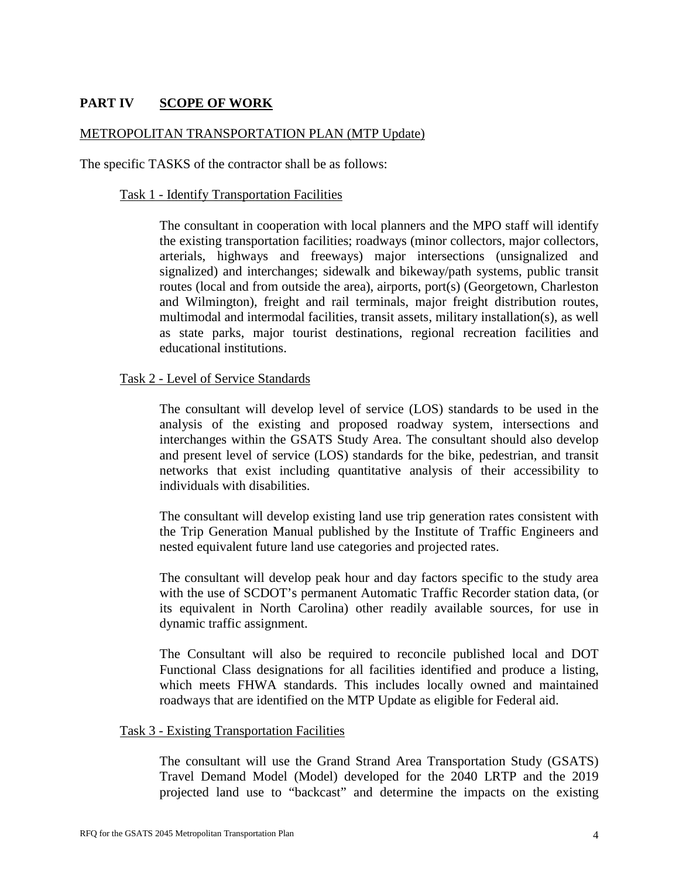## **PART IV SCOPE OF WORK**

#### METROPOLITAN TRANSPORTATION PLAN (MTP Update)

The specific TASKS of the contractor shall be as follows:

#### Task 1 - Identify Transportation Facilities

The consultant in cooperation with local planners and the MPO staff will identify the existing transportation facilities; roadways (minor collectors, major collectors, arterials, highways and freeways) major intersections (unsignalized and signalized) and interchanges; sidewalk and bikeway/path systems, public transit routes (local and from outside the area), airports, port(s) (Georgetown, Charleston and Wilmington), freight and rail terminals, major freight distribution routes, multimodal and intermodal facilities, transit assets, military installation(s), as well as state parks, major tourist destinations, regional recreation facilities and educational institutions.

#### Task 2 - Level of Service Standards

The consultant will develop level of service (LOS) standards to be used in the analysis of the existing and proposed roadway system, intersections and interchanges within the GSATS Study Area. The consultant should also develop and present level of service (LOS) standards for the bike, pedestrian, and transit networks that exist including quantitative analysis of their accessibility to individuals with disabilities.

The consultant will develop existing land use trip generation rates consistent with the Trip Generation Manual published by the Institute of Traffic Engineers and nested equivalent future land use categories and projected rates.

The consultant will develop peak hour and day factors specific to the study area with the use of SCDOT's permanent Automatic Traffic Recorder station data, (or its equivalent in North Carolina) other readily available sources, for use in dynamic traffic assignment.

The Consultant will also be required to reconcile published local and DOT Functional Class designations for all facilities identified and produce a listing, which meets FHWA standards. This includes locally owned and maintained roadways that are identified on the MTP Update as eligible for Federal aid.

#### Task 3 - Existing Transportation Facilities

The consultant will use the Grand Strand Area Transportation Study (GSATS) Travel Demand Model (Model) developed for the 2040 LRTP and the 2019 projected land use to "backcast" and determine the impacts on the existing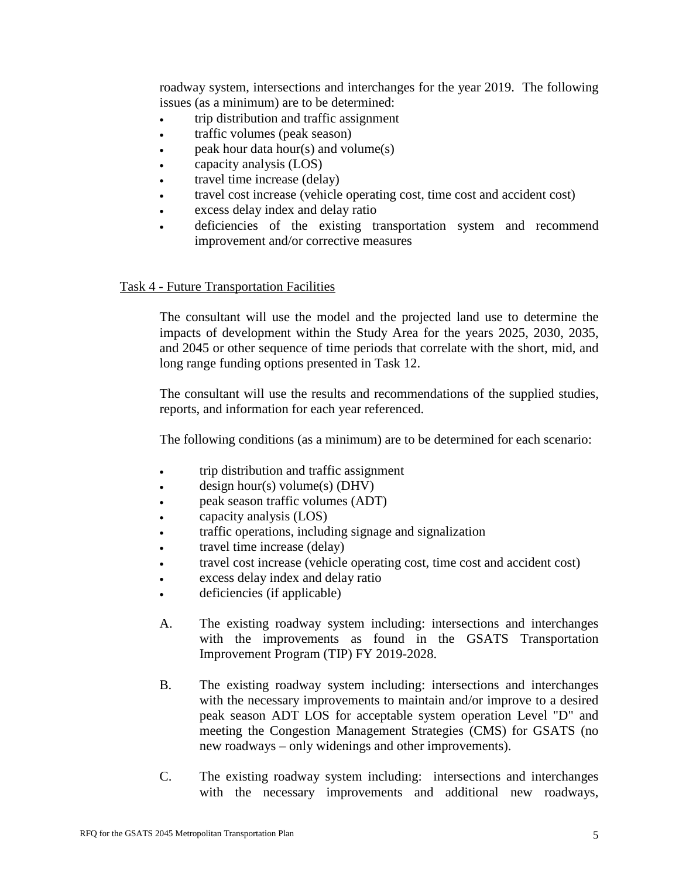roadway system, intersections and interchanges for the year 2019. The following issues (as a minimum) are to be determined:

- trip distribution and traffic assignment
- traffic volumes (peak season)
- peak hour data hour(s) and volume $(s)$
- capacity analysis (LOS)
- travel time increase (delay)
- travel cost increase (vehicle operating cost, time cost and accident cost)
- excess delay index and delay ratio
- deficiencies of the existing transportation system and recommend improvement and/or corrective measures

Task 4 - Future Transportation Facilities

The consultant will use the model and the projected land use to determine the impacts of development within the Study Area for the years 2025, 2030, 2035, and 2045 or other sequence of time periods that correlate with the short, mid, and long range funding options presented in Task 12.

The consultant will use the results and recommendations of the supplied studies, reports, and information for each year referenced.

The following conditions (as a minimum) are to be determined for each scenario:

- trip distribution and traffic assignment
- $\bullet$  design hour(s) volume(s) (DHV)
- peak season traffic volumes (ADT)
- capacity analysis (LOS)
- traffic operations, including signage and signalization
- travel time increase (delay)
- travel cost increase (vehicle operating cost, time cost and accident cost)
- excess delay index and delay ratio
- deficiencies (if applicable)
- A. The existing roadway system including: intersections and interchanges with the improvements as found in the GSATS Transportation Improvement Program (TIP) FY 2019-2028.
- B. The existing roadway system including: intersections and interchanges with the necessary improvements to maintain and/or improve to a desired peak season ADT LOS for acceptable system operation Level "D" and meeting the Congestion Management Strategies (CMS) for GSATS (no new roadways – only widenings and other improvements).
- C. The existing roadway system including: intersections and interchanges with the necessary improvements and additional new roadways,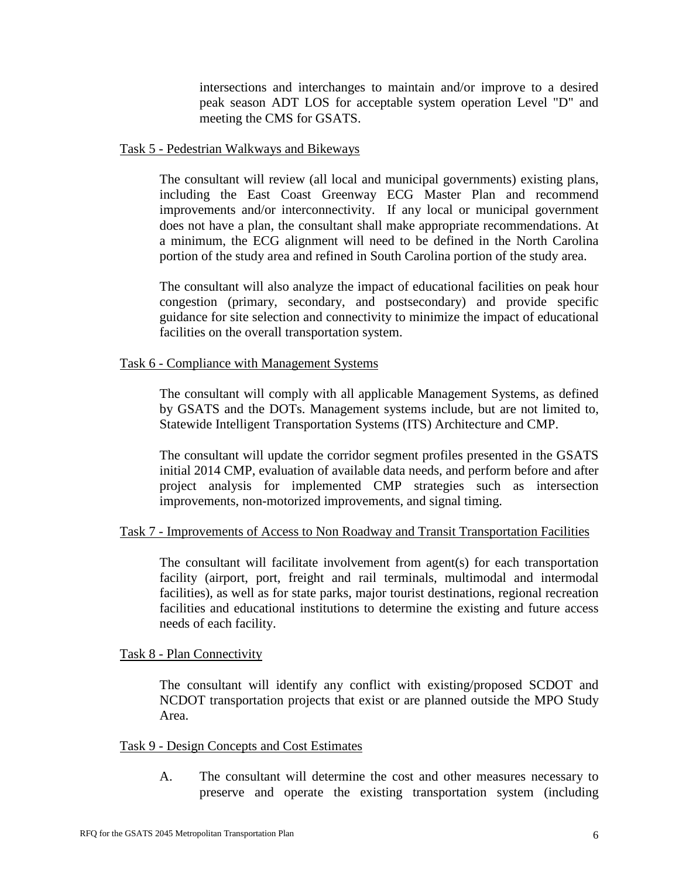intersections and interchanges to maintain and/or improve to a desired peak season ADT LOS for acceptable system operation Level "D" and meeting the CMS for GSATS.

#### Task 5 - Pedestrian Walkways and Bikeways

The consultant will review (all local and municipal governments) existing plans, including the East Coast Greenway ECG Master Plan and recommend improvements and/or interconnectivity. If any local or municipal government does not have a plan, the consultant shall make appropriate recommendations. At a minimum, the ECG alignment will need to be defined in the North Carolina portion of the study area and refined in South Carolina portion of the study area.

The consultant will also analyze the impact of educational facilities on peak hour congestion (primary, secondary, and postsecondary) and provide specific guidance for site selection and connectivity to minimize the impact of educational facilities on the overall transportation system.

### Task 6 - Compliance with Management Systems

The consultant will comply with all applicable Management Systems, as defined by GSATS and the DOTs. Management systems include, but are not limited to, Statewide Intelligent Transportation Systems (ITS) Architecture and CMP.

The consultant will update the corridor segment profiles presented in the GSATS initial 2014 CMP, evaluation of available data needs, and perform before and after project analysis for implemented CMP strategies such as intersection improvements, non-motorized improvements, and signal timing.

### Task 7 - Improvements of Access to Non Roadway and Transit Transportation Facilities

The consultant will facilitate involvement from agent(s) for each transportation facility (airport, port, freight and rail terminals, multimodal and intermodal facilities), as well as for state parks, major tourist destinations, regional recreation facilities and educational institutions to determine the existing and future access needs of each facility.

Task 8 - Plan Connectivity

The consultant will identify any conflict with existing/proposed SCDOT and NCDOT transportation projects that exist or are planned outside the MPO Study Area.

### Task 9 - Design Concepts and Cost Estimates

A. The consultant will determine the cost and other measures necessary to preserve and operate the existing transportation system (including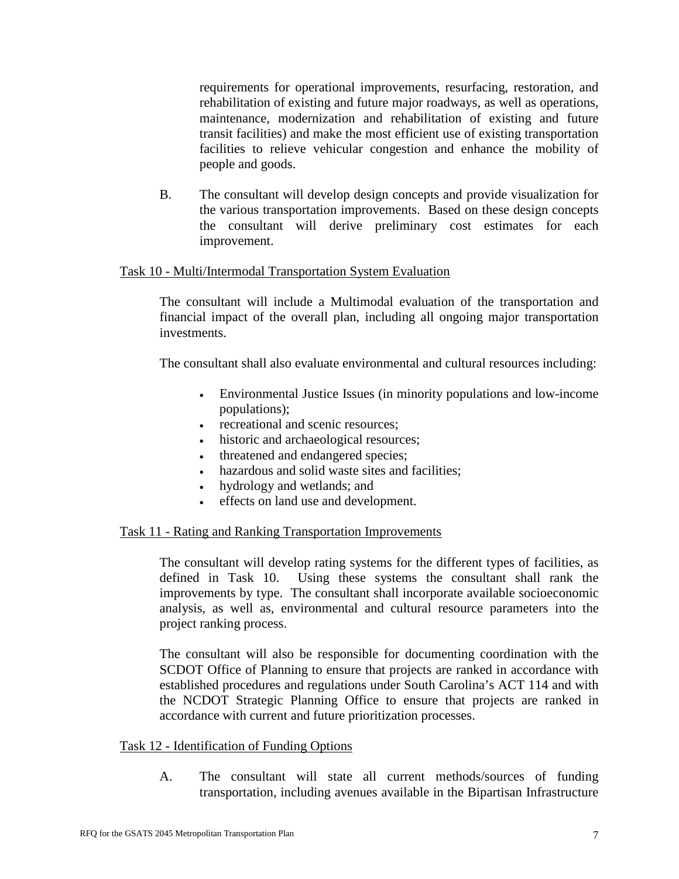requirements for operational improvements, resurfacing, restoration, and rehabilitation of existing and future major roadways, as well as operations, maintenance, modernization and rehabilitation of existing and future transit facilities) and make the most efficient use of existing transportation facilities to relieve vehicular congestion and enhance the mobility of people and goods.

B. The consultant will develop design concepts and provide visualization for the various transportation improvements. Based on these design concepts the consultant will derive preliminary cost estimates for each improvement.

### Task 10 - Multi/Intermodal Transportation System Evaluation

The consultant will include a Multimodal evaluation of the transportation and financial impact of the overall plan, including all ongoing major transportation investments.

The consultant shall also evaluate environmental and cultural resources including:

- Environmental Justice Issues (in minority populations and low-income populations);
- recreational and scenic resources:
- historic and archaeological resources;
- threatened and endangered species;
- hazardous and solid waste sites and facilities;
- hydrology and wetlands; and
- effects on land use and development.

### Task 11 - Rating and Ranking Transportation Improvements

The consultant will develop rating systems for the different types of facilities, as defined in Task 10. Using these systems the consultant shall rank the improvements by type. The consultant shall incorporate available socioeconomic analysis, as well as, environmental and cultural resource parameters into the project ranking process.

The consultant will also be responsible for documenting coordination with the SCDOT Office of Planning to ensure that projects are ranked in accordance with established procedures and regulations under South Carolina's ACT 114 and with the NCDOT Strategic Planning Office to ensure that projects are ranked in accordance with current and future prioritization processes.

### Task 12 - Identification of Funding Options

A. The consultant will state all current methods/sources of funding transportation, including avenues available in the Bipartisan Infrastructure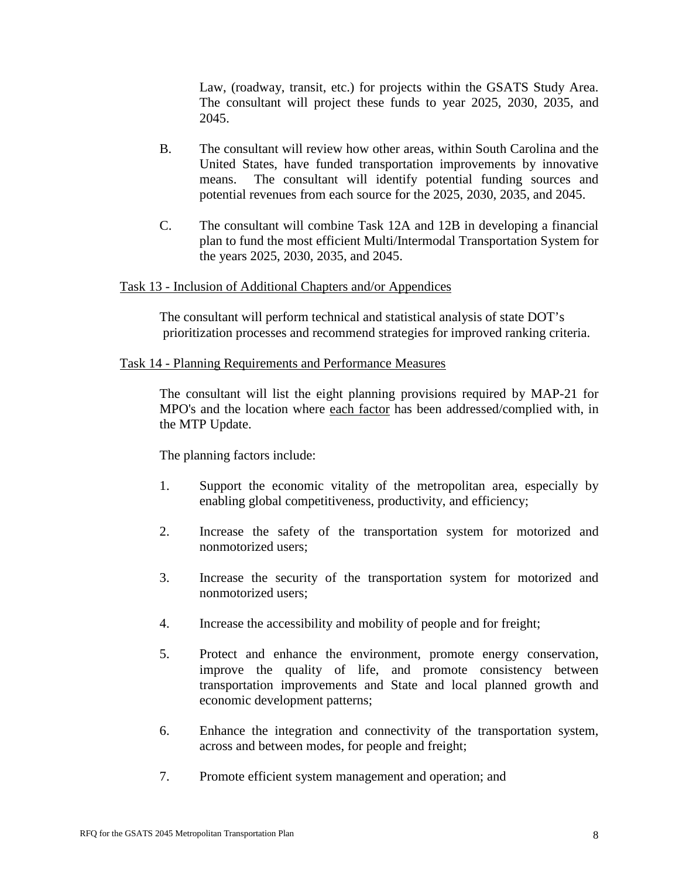Law, (roadway, transit, etc.) for projects within the GSATS Study Area. The consultant will project these funds to year 2025, 2030, 2035, and 2045.

- B. The consultant will review how other areas, within South Carolina and the United States, have funded transportation improvements by innovative means. The consultant will identify potential funding sources and potential revenues from each source for the 2025, 2030, 2035, and 2045.
- C. The consultant will combine Task 12A and 12B in developing a financial plan to fund the most efficient Multi/Intermodal Transportation System for the years 2025, 2030, 2035, and 2045.

### Task 13 - Inclusion of Additional Chapters and/or Appendices

The consultant will perform technical and statistical analysis of state DOT's prioritization processes and recommend strategies for improved ranking criteria.

### Task 14 - Planning Requirements and Performance Measures

The consultant will list the eight planning provisions required by MAP-21 for MPO's and the location where each factor has been addressed/complied with, in the MTP Update.

The planning factors include:

- 1. Support the economic vitality of the metropolitan area, especially by enabling global competitiveness, productivity, and efficiency;
- 2. Increase the safety of the transportation system for motorized and nonmotorized users;
- 3. Increase the security of the transportation system for motorized and nonmotorized users;
- 4. Increase the accessibility and mobility of people and for freight;
- 5. Protect and enhance the environment, promote energy conservation, improve the quality of life, and promote consistency between transportation improvements and State and local planned growth and economic development patterns;
- 6. Enhance the integration and connectivity of the transportation system, across and between modes, for people and freight;
- 7. Promote efficient system management and operation; and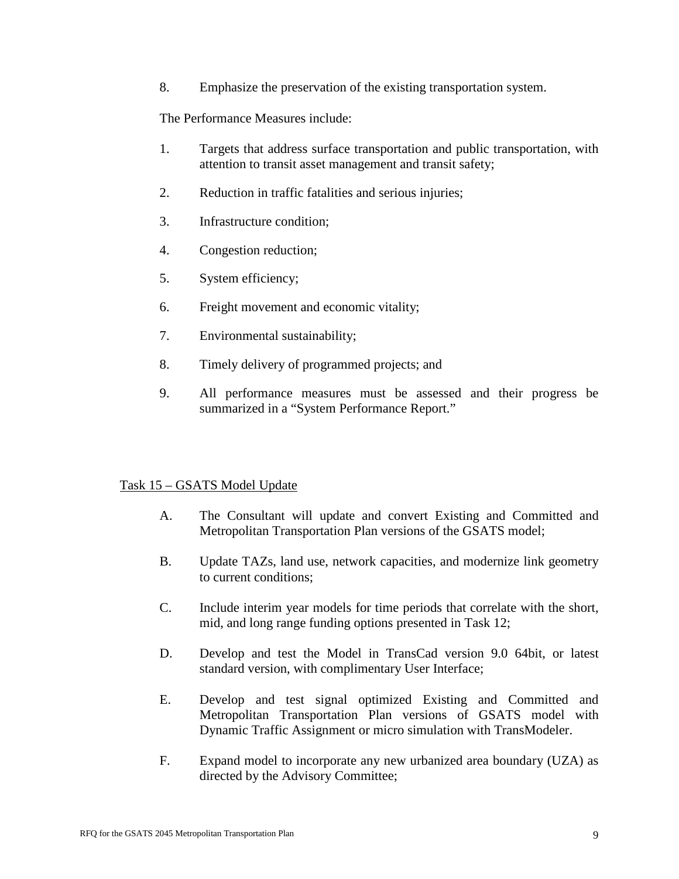8. Emphasize the preservation of the existing transportation system.

The Performance Measures include:

- 1. Targets that address surface transportation and public transportation, with attention to transit asset management and transit safety;
- 2. Reduction in traffic fatalities and serious injuries;
- 3. Infrastructure condition;
- 4. Congestion reduction;
- 5. System efficiency;
- 6. Freight movement and economic vitality;
- 7. Environmental sustainability;
- 8. Timely delivery of programmed projects; and
- 9. All performance measures must be assessed and their progress be summarized in a "System Performance Report."

### Task 15 – GSATS Model Update

- A. The Consultant will update and convert Existing and Committed and Metropolitan Transportation Plan versions of the GSATS model;
- B. Update TAZs, land use, network capacities, and modernize link geometry to current conditions;
- C. Include interim year models for time periods that correlate with the short, mid, and long range funding options presented in Task 12;
- D. Develop and test the Model in TransCad version 9.0 64bit, or latest standard version, with complimentary User Interface;
- E. Develop and test signal optimized Existing and Committed and Metropolitan Transportation Plan versions of GSATS model with Dynamic Traffic Assignment or micro simulation with TransModeler.
- F. Expand model to incorporate any new urbanized area boundary (UZA) as directed by the Advisory Committee;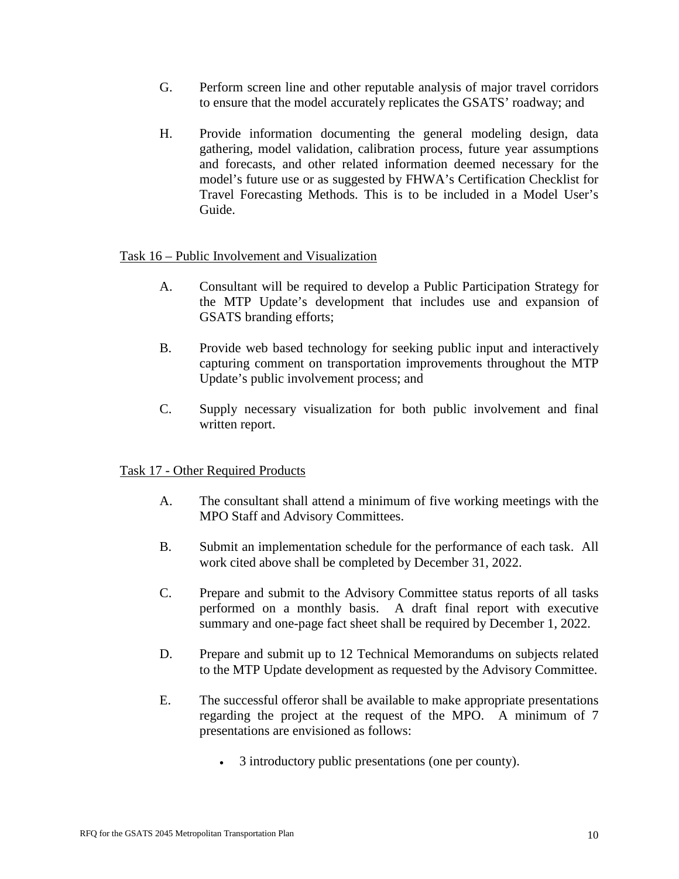- G. Perform screen line and other reputable analysis of major travel corridors to ensure that the model accurately replicates the GSATS' roadway; and
- H. Provide information documenting the general modeling design, data gathering, model validation, calibration process, future year assumptions and forecasts, and other related information deemed necessary for the model's future use or as suggested by FHWA's Certification Checklist for Travel Forecasting Methods. This is to be included in a Model User's Guide.

### Task 16 – Public Involvement and Visualization

- A. Consultant will be required to develop a Public Participation Strategy for the MTP Update's development that includes use and expansion of GSATS branding efforts;
- B. Provide web based technology for seeking public input and interactively capturing comment on transportation improvements throughout the MTP Update's public involvement process; and
- C. Supply necessary visualization for both public involvement and final written report.

### Task 17 - Other Required Products

- A. The consultant shall attend a minimum of five working meetings with the MPO Staff and Advisory Committees.
- B. Submit an implementation schedule for the performance of each task. All work cited above shall be completed by December 31, 2022.
- C. Prepare and submit to the Advisory Committee status reports of all tasks performed on a monthly basis. A draft final report with executive summary and one-page fact sheet shall be required by December 1, 2022.
- D. Prepare and submit up to 12 Technical Memorandums on subjects related to the MTP Update development as requested by the Advisory Committee.
- E. The successful offeror shall be available to make appropriate presentations regarding the project at the request of the MPO. A minimum of 7 presentations are envisioned as follows:
	- 3 introductory public presentations (one per county).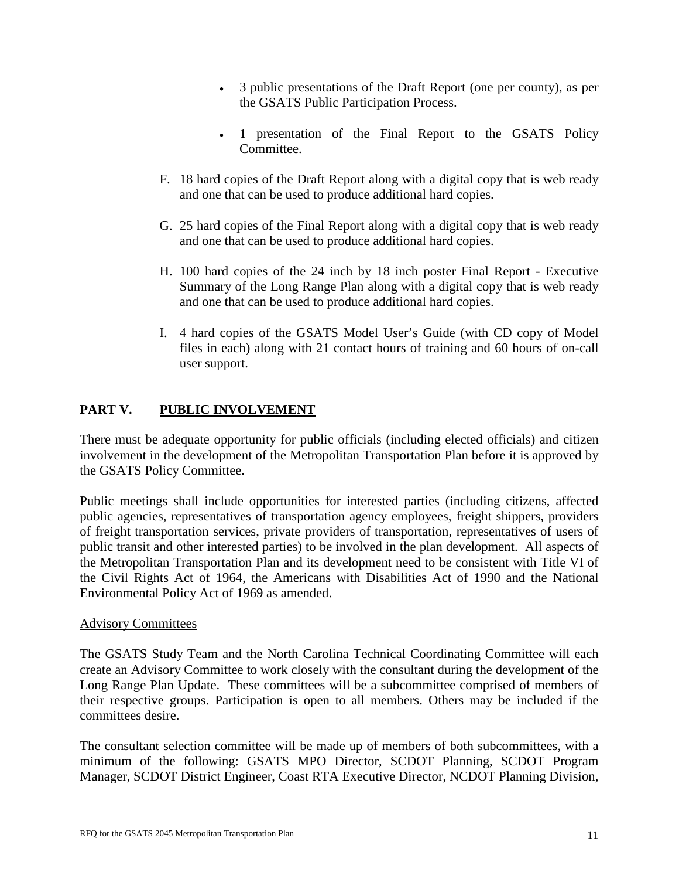- 3 public presentations of the Draft Report (one per county), as per the GSATS Public Participation Process.
- 1 presentation of the Final Report to the GSATS Policy Committee.
- F. 18 hard copies of the Draft Report along with a digital copy that is web ready and one that can be used to produce additional hard copies.
- G. 25 hard copies of the Final Report along with a digital copy that is web ready and one that can be used to produce additional hard copies.
- H. 100 hard copies of the 24 inch by 18 inch poster Final Report Executive Summary of the Long Range Plan along with a digital copy that is web ready and one that can be used to produce additional hard copies.
- I. 4 hard copies of the GSATS Model User's Guide (with CD copy of Model files in each) along with 21 contact hours of training and 60 hours of on-call user support.

## **PART V. PUBLIC INVOLVEMENT**

There must be adequate opportunity for public officials (including elected officials) and citizen involvement in the development of the Metropolitan Transportation Plan before it is approved by the GSATS Policy Committee.

Public meetings shall include opportunities for interested parties (including citizens, affected public agencies, representatives of transportation agency employees, freight shippers, providers of freight transportation services, private providers of transportation, representatives of users of public transit and other interested parties) to be involved in the plan development. All aspects of the Metropolitan Transportation Plan and its development need to be consistent with Title VI of the Civil Rights Act of 1964, the Americans with Disabilities Act of 1990 and the National Environmental Policy Act of 1969 as amended.

### Advisory Committees

The GSATS Study Team and the North Carolina Technical Coordinating Committee will each create an Advisory Committee to work closely with the consultant during the development of the Long Range Plan Update. These committees will be a subcommittee comprised of members of their respective groups. Participation is open to all members. Others may be included if the committees desire.

The consultant selection committee will be made up of members of both subcommittees, with a minimum of the following: GSATS MPO Director, SCDOT Planning, SCDOT Program Manager, SCDOT District Engineer, Coast RTA Executive Director, NCDOT Planning Division,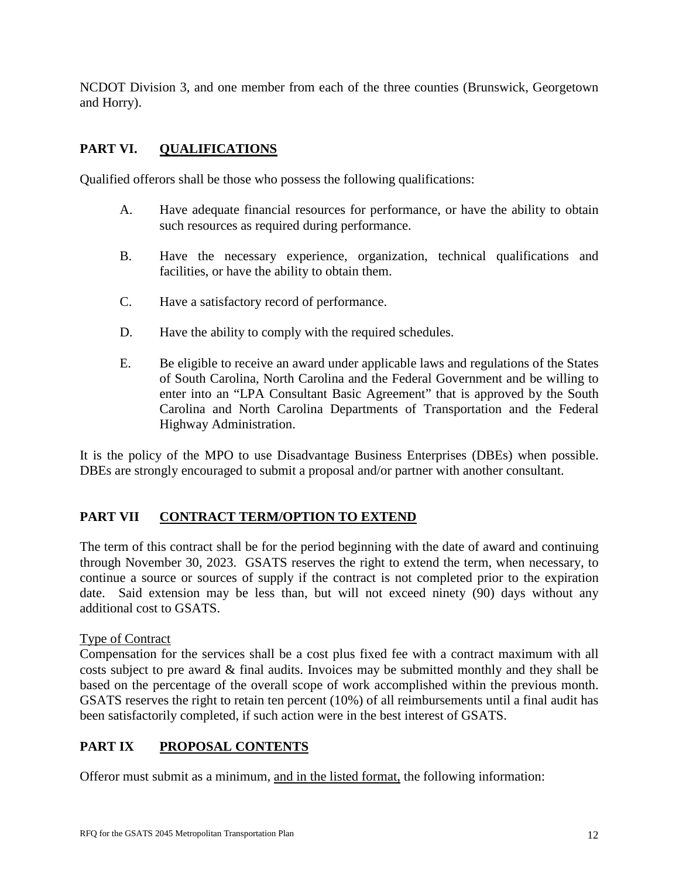NCDOT Division 3, and one member from each of the three counties (Brunswick, Georgetown and Horry).

## **PART VI. QUALIFICATIONS**

Qualified offerors shall be those who possess the following qualifications:

- A. Have adequate financial resources for performance, or have the ability to obtain such resources as required during performance.
- B. Have the necessary experience, organization, technical qualifications and facilities, or have the ability to obtain them.
- C. Have a satisfactory record of performance.
- D. Have the ability to comply with the required schedules.
- E. Be eligible to receive an award under applicable laws and regulations of the States of South Carolina, North Carolina and the Federal Government and be willing to enter into an "LPA Consultant Basic Agreement" that is approved by the South Carolina and North Carolina Departments of Transportation and the Federal Highway Administration.

It is the policy of the MPO to use Disadvantage Business Enterprises (DBEs) when possible. DBEs are strongly encouraged to submit a proposal and/or partner with another consultant.

### **PART VII CONTRACT TERM/OPTION TO EXTEND**

The term of this contract shall be for the period beginning with the date of award and continuing through November 30, 2023. GSATS reserves the right to extend the term, when necessary, to continue a source or sources of supply if the contract is not completed prior to the expiration date. Said extension may be less than, but will not exceed ninety (90) days without any additional cost to GSATS.

### Type of Contract

Compensation for the services shall be a cost plus fixed fee with a contract maximum with all costs subject to pre award & final audits. Invoices may be submitted monthly and they shall be based on the percentage of the overall scope of work accomplished within the previous month. GSATS reserves the right to retain ten percent (10%) of all reimbursements until a final audit has been satisfactorily completed, if such action were in the best interest of GSATS.

### **PART IX PROPOSAL CONTENTS**

Offeror must submit as a minimum, and in the listed format, the following information: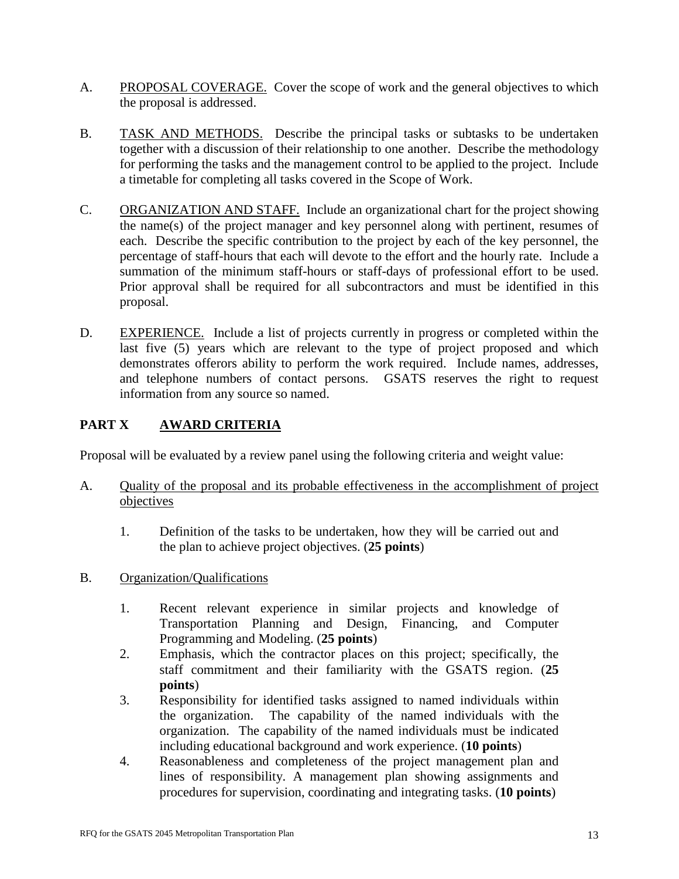- A. PROPOSAL COVERAGE. Cover the scope of work and the general objectives to which the proposal is addressed.
- B. TASK AND METHODS. Describe the principal tasks or subtasks to be undertaken together with a discussion of their relationship to one another. Describe the methodology for performing the tasks and the management control to be applied to the project. Include a timetable for completing all tasks covered in the Scope of Work.
- C. ORGANIZATION AND STAFF. Include an organizational chart for the project showing the name(s) of the project manager and key personnel along with pertinent, resumes of each. Describe the specific contribution to the project by each of the key personnel, the percentage of staff-hours that each will devote to the effort and the hourly rate. Include a summation of the minimum staff-hours or staff-days of professional effort to be used. Prior approval shall be required for all subcontractors and must be identified in this proposal.
- D. EXPERIENCE. Include a list of projects currently in progress or completed within the last five (5) years which are relevant to the type of project proposed and which demonstrates offerors ability to perform the work required. Include names, addresses, and telephone numbers of contact persons. GSATS reserves the right to request information from any source so named.

# **PART X AWARD CRITERIA**

Proposal will be evaluated by a review panel using the following criteria and weight value:

- A. Quality of the proposal and its probable effectiveness in the accomplishment of project objectives
	- 1. Definition of the tasks to be undertaken, how they will be carried out and the plan to achieve project objectives. (**25 points**)
- B. Organization/Qualifications
	- 1. Recent relevant experience in similar projects and knowledge of Transportation Planning and Design, Financing, and Computer Programming and Modeling. (**25 points**)
	- 2. Emphasis, which the contractor places on this project; specifically, the staff commitment and their familiarity with the GSATS region. (**25 points**)
	- 3. Responsibility for identified tasks assigned to named individuals within the organization. The capability of the named individuals with the organization. The capability of the named individuals must be indicated including educational background and work experience. (**10 points**)
	- 4. Reasonableness and completeness of the project management plan and lines of responsibility. A management plan showing assignments and procedures for supervision, coordinating and integrating tasks. (**10 points**)